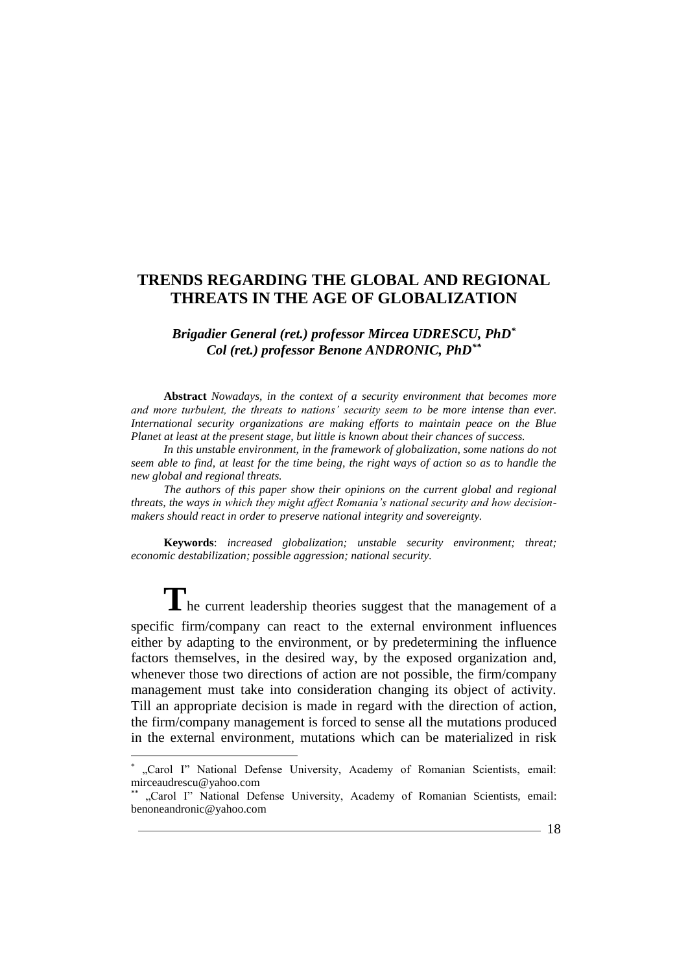# *Brigadier General (ret.) professor Mircea UDRESCU, PhD\* Col (ret.) professor Benone ANDRONIC, PhD\*\**

**Abstract** *Nowadays, in the context of a security environment that becomes more and more turbulent, the threats to nations' security seem to be more intense than ever. International security organizations are making efforts to maintain peace on the Blue Planet at least at the present stage, but little is known about their chances of success.*

*In this unstable environment, in the framework of globalization, some nations do not seem able to find, at least for the time being, the right ways of action so as to handle the new global and regional threats.*

*The authors of this paper show their opinions on the current global and regional threats, the ways in which they might affect Romania's national security and how decisionmakers should react in order to preserve national integrity and sovereignty.*

**Keywords**: *increased globalization; unstable security environment; threat; economic destabilization; possible aggression; national security.*

The current leadership theories suggest that the management of a specific firm/company can react to the external environment influences either by adapting to the environment, or by predetermining the influence factors themselves, in the desired way, by the exposed organization and, whenever those two directions of action are not possible, the firm/company management must take into consideration changing its object of activity. Till an appropriate decision is made in regard with the direction of action, the firm/company management is forced to sense all the mutations produced in the external environment, mutations which can be materialized in risk

 $\overline{a}$ 

<sup>\*</sup> "Carol I" National Defense University, Academy of Romanian Scientists, email: mirceaudrescu@yahoo.com

<sup>\*\* &</sup>quot;Carol I" National Defense University, Academy of Romanian Scientists, email: benoneandronic@yahoo.com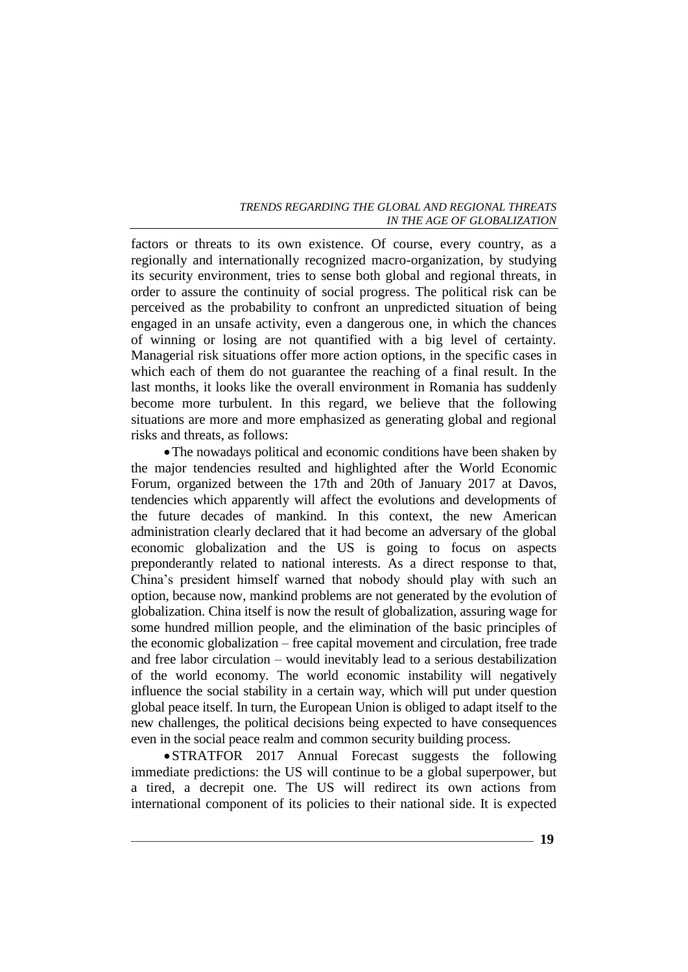factors or threats to its own existence. Of course, every country, as a regionally and internationally recognized macro-organization, by studying its security environment, tries to sense both global and regional threats, in order to assure the continuity of social progress. The political risk can be perceived as the probability to confront an unpredicted situation of being engaged in an unsafe activity, even a dangerous one, in which the chances of winning or losing are not quantified with a big level of certainty. Managerial risk situations offer more action options, in the specific cases in which each of them do not guarantee the reaching of a final result. In the last months, it looks like the overall environment in Romania has suddenly become more turbulent. In this regard, we believe that the following situations are more and more emphasized as generating global and regional risks and threats, as follows:

• The nowadays political and economic conditions have been shaken by the major tendencies resulted and highlighted after the World Economic Forum, organized between the 17th and 20th of January 2017 at Davos, tendencies which apparently will affect the evolutions and developments of the future decades of mankind. In this context, the new American administration clearly declared that it had become an adversary of the global economic globalization and the US is going to focus on aspects preponderantly related to national interests. As a direct response to that, China's president himself warned that nobody should play with such an option, because now, mankind problems are not generated by the evolution of globalization. China itself is now the result of globalization, assuring wage for some hundred million people, and the elimination of the basic principles of the economic globalization – free capital movement and circulation, free trade and free labor circulation – would inevitably lead to a serious destabilization of the world economy. The world economic instability will negatively influence the social stability in a certain way, which will put under question global peace itself. In turn, the European Union is obliged to adapt itself to the new challenges, the political decisions being expected to have consequences even in the social peace realm and common security building process.

•STRATFOR 2017 Annual Forecast suggests the following immediate predictions: the US will continue to be a global superpower, but a tired, a decrepit one. The US will redirect its own actions from international component of its policies to their national side. It is expected

 $-19$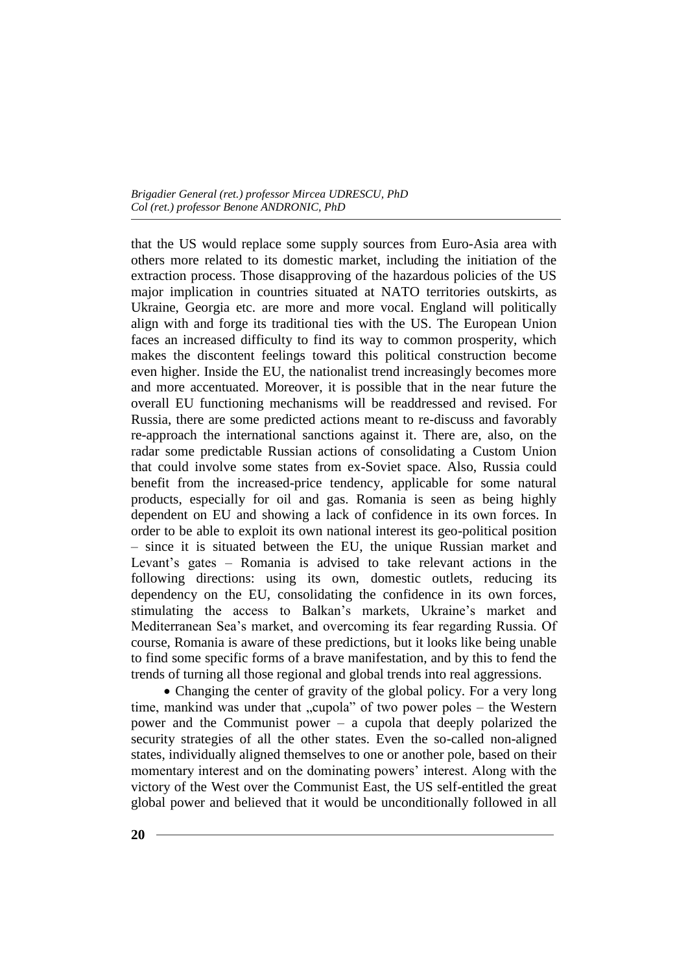that the US would replace some supply sources from Euro-Asia area with others more related to its domestic market, including the initiation of the extraction process. Those disapproving of the hazardous policies of the US major implication in countries situated at NATO territories outskirts, as Ukraine, Georgia etc. are more and more vocal. England will politically align with and forge its traditional ties with the US. The European Union faces an increased difficulty to find its way to common prosperity, which makes the discontent feelings toward this political construction become even higher. Inside the EU, the nationalist trend increasingly becomes more and more accentuated. Moreover, it is possible that in the near future the overall EU functioning mechanisms will be readdressed and revised. For Russia, there are some predicted actions meant to re-discuss and favorably re-approach the international sanctions against it. There are, also, on the radar some predictable Russian actions of consolidating a Custom Union that could involve some states from ex-Soviet space. Also, Russia could benefit from the increased-price tendency, applicable for some natural products, especially for oil and gas. Romania is seen as being highly dependent on EU and showing a lack of confidence in its own forces. In order to be able to exploit its own national interest its geo-political position – since it is situated between the EU, the unique Russian market and Levant's gates – Romania is advised to take relevant actions in the following directions: using its own, domestic outlets, reducing its dependency on the EU, consolidating the confidence in its own forces, stimulating the access to Balkan's markets, Ukraine's market and Mediterranean Sea's market, and overcoming its fear regarding Russia. Of course, Romania is aware of these predictions, but it looks like being unable to find some specific forms of a brave manifestation, and by this to fend the trends of turning all those regional and global trends into real aggressions.

• Changing the center of gravity of the global policy. For a very long time, mankind was under that "cupola" of two power poles – the Western power and the Communist power – a cupola that deeply polarized the security strategies of all the other states. Even the so-called non-aligned states, individually aligned themselves to one or another pole, based on their momentary interest and on the dominating powers' interest. Along with the victory of the West over the Communist East, the US self-entitled the great global power and believed that it would be unconditionally followed in all

**20**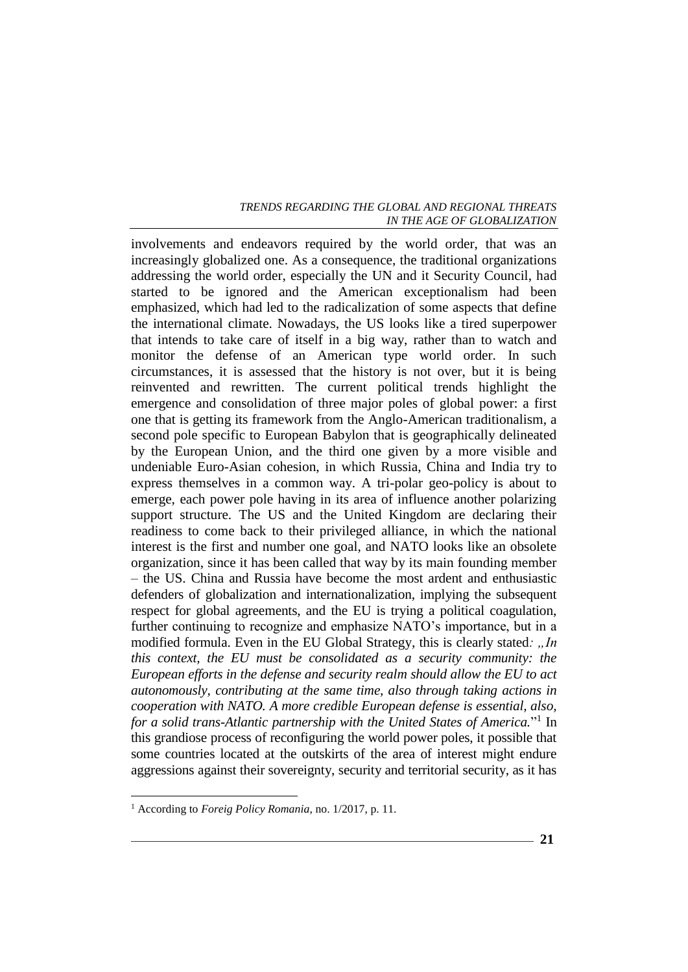involvements and endeavors required by the world order, that was an increasingly globalized one. As a consequence, the traditional organizations addressing the world order, especially the UN and it Security Council, had started to be ignored and the American exceptionalism had been emphasized, which had led to the radicalization of some aspects that define the international climate. Nowadays, the US looks like a tired superpower that intends to take care of itself in a big way, rather than to watch and monitor the defense of an American type world order. In such circumstances, it is assessed that the history is not over, but it is being reinvented and rewritten. The current political trends highlight the emergence and consolidation of three major poles of global power: a first one that is getting its framework from the Anglo-American traditionalism, a second pole specific to European Babylon that is geographically delineated by the European Union, and the third one given by a more visible and undeniable Euro-Asian cohesion, in which Russia, China and India try to express themselves in a common way. A tri-polar geo-policy is about to emerge, each power pole having in its area of influence another polarizing support structure. The US and the United Kingdom are declaring their readiness to come back to their privileged alliance, in which the national interest is the first and number one goal, and NATO looks like an obsolete organization, since it has been called that way by its main founding member – the US. China and Russia have become the most ardent and enthusiastic defenders of globalization and internationalization, implying the subsequent respect for global agreements, and the EU is trying a political coagulation, further continuing to recognize and emphasize NATO's importance, but in a modified formula. Even in the EU Global Strategy, this is clearly stated*: "In this context, the EU must be consolidated as a security community: the European efforts in the defense and security realm should allow the EU to act autonomously, contributing at the same time, also through taking actions in cooperation with NATO. A more credible European defense is essential, also, for a solid trans-Atlantic partnership with the United States of America.*" 1 In this grandiose process of reconfiguring the world power poles, it possible that some countries located at the outskirts of the area of interest might endure aggressions against their sovereignty, security and territorial security, as it has

 $\overline{a}$ 

<sup>1</sup> According to *Foreig Policy Romania*, no. 1/2017, p. 11.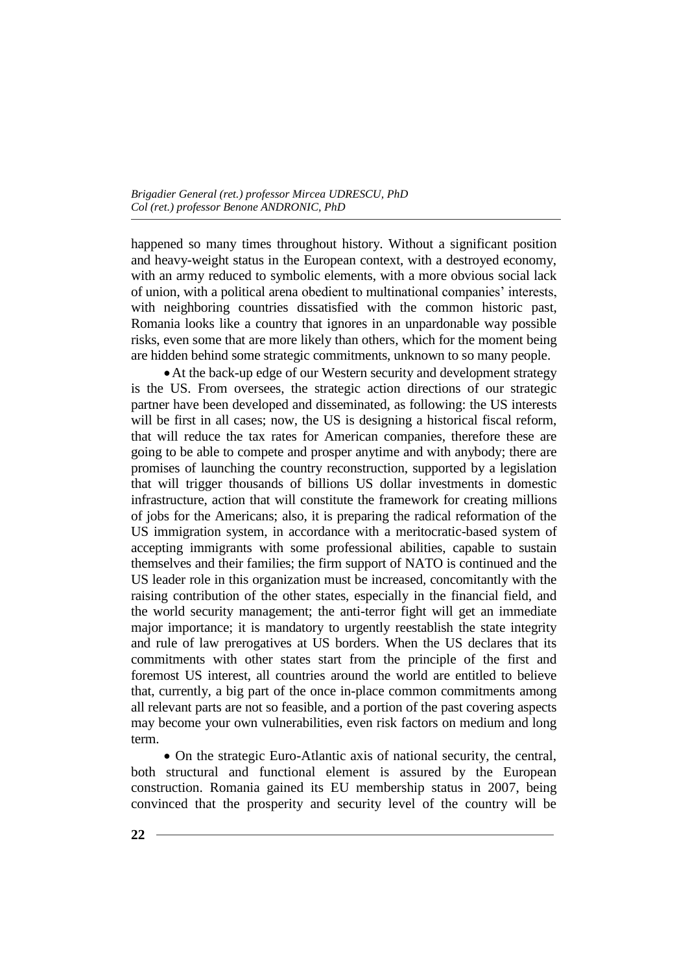happened so many times throughout history. Without a significant position and heavy-weight status in the European context, with a destroyed economy, with an army reduced to symbolic elements, with a more obvious social lack of union, with a political arena obedient to multinational companies' interests, with neighboring countries dissatisfied with the common historic past, Romania looks like a country that ignores in an unpardonable way possible risks, even some that are more likely than others, which for the moment being are hidden behind some strategic commitments, unknown to so many people.

• At the back-up edge of our Western security and development strategy is the US. From oversees, the strategic action directions of our strategic partner have been developed and disseminated, as following: the US interests will be first in all cases; now, the US is designing a historical fiscal reform, that will reduce the tax rates for American companies, therefore these are going to be able to compete and prosper anytime and with anybody; there are promises of launching the country reconstruction, supported by a legislation that will trigger thousands of billions US dollar investments in domestic infrastructure, action that will constitute the framework for creating millions of jobs for the Americans; also, it is preparing the radical reformation of the US immigration system, in accordance with a meritocratic-based system of accepting immigrants with some professional abilities, capable to sustain themselves and their families; the firm support of NATO is continued and the US leader role in this organization must be increased, concomitantly with the raising contribution of the other states, especially in the financial field, and the world security management; the anti-terror fight will get an immediate major importance; it is mandatory to urgently reestablish the state integrity and rule of law prerogatives at US borders. When the US declares that its commitments with other states start from the principle of the first and foremost US interest, all countries around the world are entitled to believe that, currently, a big part of the once in-place common commitments among all relevant parts are not so feasible, and a portion of the past covering aspects may become your own vulnerabilities, even risk factors on medium and long term.

• On the strategic Euro-Atlantic axis of national security, the central, both structural and functional element is assured by the European construction. Romania gained its EU membership status in 2007, being convinced that the prosperity and security level of the country will be

**22**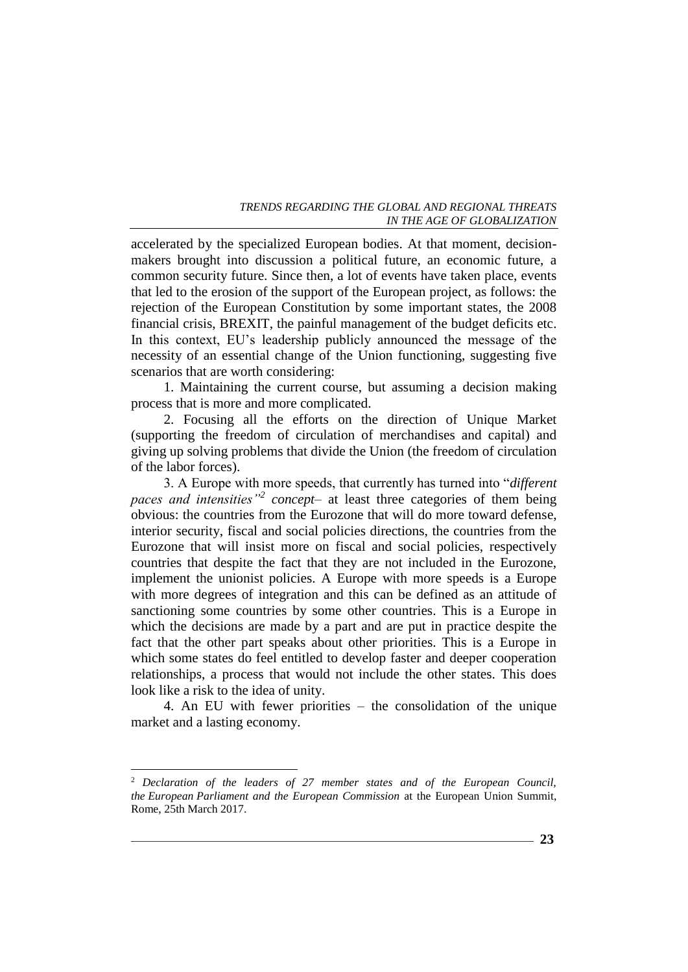accelerated by the specialized European bodies. At that moment, decisionmakers brought into discussion a political future, an economic future, a common security future. Since then, a lot of events have taken place, events that led to the erosion of the support of the European project, as follows: the rejection of the European Constitution by some important states, the 2008 financial crisis, BREXIT, the painful management of the budget deficits etc. In this context, EU's leadership publicly announced the message of the necessity of an essential change of the Union functioning, suggesting five scenarios that are worth considering:

1. Maintaining the current course, but assuming a decision making process that is more and more complicated.

2. Focusing all the efforts on the direction of Unique Market (supporting the freedom of circulation of merchandises and capital) and giving up solving problems that divide the Union (the freedom of circulation of the labor forces).

3. A Europe with more speeds, that currently has turned into "*different paces and intensities"<sup>2</sup> concept*– at least three categories of them being obvious: the countries from the Eurozone that will do more toward defense, interior security, fiscal and social policies directions, the countries from the Eurozone that will insist more on fiscal and social policies, respectively countries that despite the fact that they are not included in the Eurozone, implement the unionist policies. A Europe with more speeds is a Europe with more degrees of integration and this can be defined as an attitude of sanctioning some countries by some other countries. This is a Europe in which the decisions are made by a part and are put in practice despite the fact that the other part speaks about other priorities. This is a Europe in which some states do feel entitled to develop faster and deeper cooperation relationships, a process that would not include the other states. This does look like a risk to the idea of unity.

4. An EU with fewer priorities – the consolidation of the unique market and a lasting economy.

 $\overline{a}$ 

<sup>2</sup> *Declaration of the leaders of 27 member states and of the European Council, the European Parliament and the European Commission* at the European Union Summit, Rome, 25th March 2017.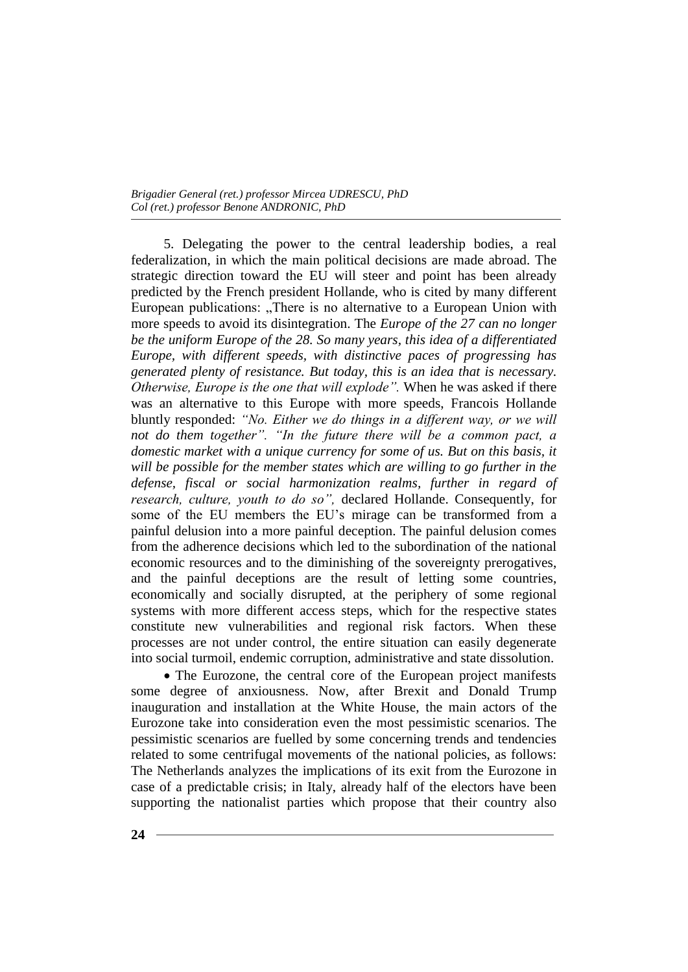5. Delegating the power to the central leadership bodies, a real federalization, in which the main political decisions are made abroad. The strategic direction toward the EU will steer and point has been already predicted by the French president Hollande, who is cited by many different European publications: "There is no alternative to a European Union with more speeds to avoid its disintegration. The *Europe of the 27 can no longer be the uniform Europe of the 28. So many years, this idea of a differentiated Europe, with different speeds, with distinctive paces of progressing has generated plenty of resistance. But today, this is an idea that is necessary. Otherwise, Europe is the one that will explode".* When he was asked if there was an alternative to this Europe with more speeds, Francois Hollande bluntly responded: *"No. Either we do things in a different way, or we will not do them together". "In the future there will be a common pact, a domestic market with a unique currency for some of us. But on this basis, it will be possible for the member states which are willing to go further in the defense, fiscal or social harmonization realms, further in regard of research, culture, youth to do so",* declared Hollande. Consequently, for some of the EU members the EU's mirage can be transformed from a painful delusion into a more painful deception. The painful delusion comes from the adherence decisions which led to the subordination of the national economic resources and to the diminishing of the sovereignty prerogatives, and the painful deceptions are the result of letting some countries, economically and socially disrupted, at the periphery of some regional systems with more different access steps, which for the respective states constitute new vulnerabilities and regional risk factors. When these processes are not under control, the entire situation can easily degenerate into social turmoil, endemic corruption, administrative and state dissolution.

• The Eurozone, the central core of the European project manifests some degree of anxiousness. Now, after Brexit and Donald Trump inauguration and installation at the White House, the main actors of the Eurozone take into consideration even the most pessimistic scenarios. The pessimistic scenarios are fuelled by some concerning trends and tendencies related to some centrifugal movements of the national policies, as follows: The Netherlands analyzes the implications of its exit from the Eurozone in case of a predictable crisis; in Italy, already half of the electors have been supporting the nationalist parties which propose that their country also

**24**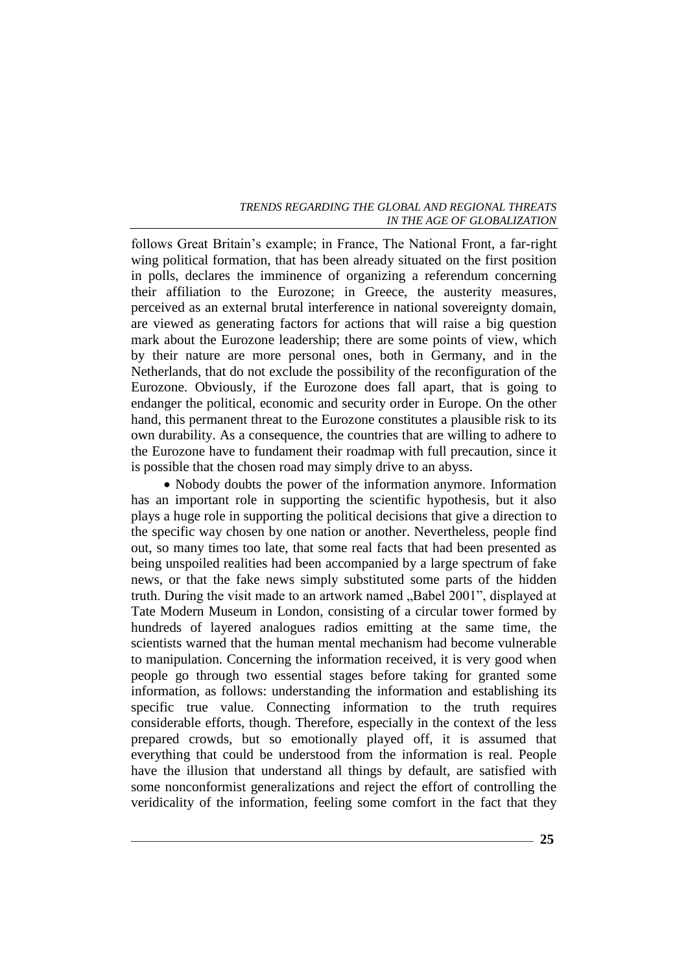follows Great Britain's example; in France, The National Front, a far-right wing political formation, that has been already situated on the first position in polls, declares the imminence of organizing a referendum concerning their affiliation to the Eurozone; in Greece, the austerity measures, perceived as an external brutal interference in national sovereignty domain, are viewed as generating factors for actions that will raise a big question mark about the Eurozone leadership; there are some points of view, which by their nature are more personal ones, both in Germany, and in the Netherlands, that do not exclude the possibility of the reconfiguration of the Eurozone. Obviously, if the Eurozone does fall apart, that is going to endanger the political, economic and security order in Europe. On the other hand, this permanent threat to the Eurozone constitutes a plausible risk to its own durability. As a consequence, the countries that are willing to adhere to the Eurozone have to fundament their roadmap with full precaution, since it is possible that the chosen road may simply drive to an abyss.

• Nobody doubts the power of the information anymore. Information has an important role in supporting the scientific hypothesis, but it also plays a huge role in supporting the political decisions that give a direction to the specific way chosen by one nation or another. Nevertheless, people find out, so many times too late, that some real facts that had been presented as being unspoiled realities had been accompanied by a large spectrum of fake news, or that the fake news simply substituted some parts of the hidden truth. During the visit made to an artwork named "Babel 2001", displayed at Tate Modern Museum in London, consisting of a circular tower formed by hundreds of layered analogues radios emitting at the same time, the scientists warned that the human mental mechanism had become vulnerable to manipulation. Concerning the information received, it is very good when people go through two essential stages before taking for granted some information, as follows: understanding the information and establishing its specific true value. Connecting information to the truth requires considerable efforts, though. Therefore, especially in the context of the less prepared crowds, but so emotionally played off, it is assumed that everything that could be understood from the information is real. People have the illusion that understand all things by default, are satisfied with some nonconformist generalizations and reject the effort of controlling the veridicality of the information, feeling some comfort in the fact that they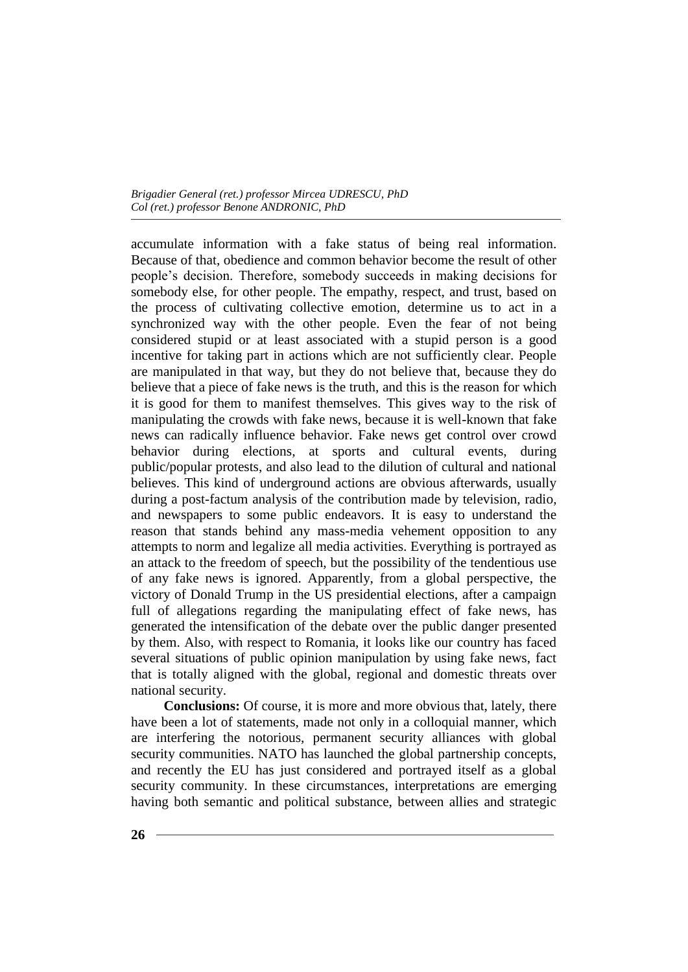accumulate information with a fake status of being real information. Because of that, obedience and common behavior become the result of other people's decision. Therefore, somebody succeeds in making decisions for somebody else, for other people. The empathy, respect, and trust, based on the process of cultivating collective emotion, determine us to act in a synchronized way with the other people. Even the fear of not being considered stupid or at least associated with a stupid person is a good incentive for taking part in actions which are not sufficiently clear. People are manipulated in that way, but they do not believe that, because they do believe that a piece of fake news is the truth, and this is the reason for which it is good for them to manifest themselves. This gives way to the risk of manipulating the crowds with fake news, because it is well-known that fake news can radically influence behavior. Fake news get control over crowd behavior during elections, at sports and cultural events, during public/popular protests, and also lead to the dilution of cultural and national believes. This kind of underground actions are obvious afterwards, usually during a post-factum analysis of the contribution made by television, radio, and newspapers to some public endeavors. It is easy to understand the reason that stands behind any mass-media vehement opposition to any attempts to norm and legalize all media activities. Everything is portrayed as an attack to the freedom of speech, but the possibility of the tendentious use of any fake news is ignored. Apparently, from a global perspective, the victory of Donald Trump in the US presidential elections, after a campaign full of allegations regarding the manipulating effect of fake news, has generated the intensification of the debate over the public danger presented by them. Also, with respect to Romania, it looks like our country has faced several situations of public opinion manipulation by using fake news, fact that is totally aligned with the global, regional and domestic threats over national security.

**Conclusions:** Of course, it is more and more obvious that, lately, there have been a lot of statements, made not only in a colloquial manner, which are interfering the notorious, permanent security alliances with global security communities. NATO has launched the global partnership concepts, and recently the EU has just considered and portrayed itself as a global security community. In these circumstances, interpretations are emerging having both semantic and political substance, between allies and strategic